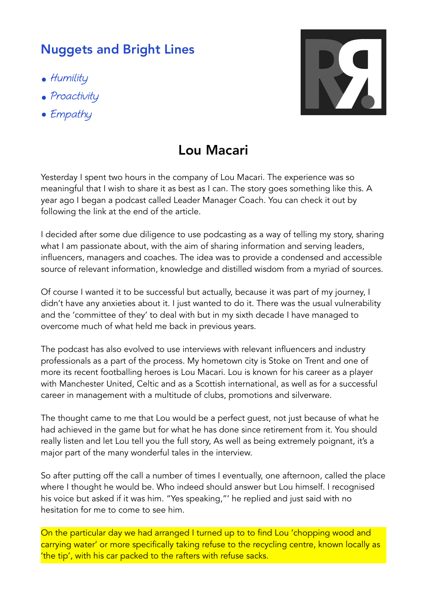## Nuggets and Bright Lines

- Humility
- Proactivity
- Empathy



## Lou Macari

Yesterday I spent two hours in the company of Lou Macari. The experience was so meaningful that I wish to share it as best as I can. The story goes something like this. A year ago I began a podcast called Leader Manager Coach. You can check it out by following the link at the end of the article.

I decided after some due diligence to use podcasting as a way of telling my story, sharing what I am passionate about, with the aim of sharing information and serving leaders, influencers, managers and coaches. The idea was to provide a condensed and accessible source of relevant information, knowledge and distilled wisdom from a myriad of sources.

Of course I wanted it to be successful but actually, because it was part of my journey, I didn't have any anxieties about it. I just wanted to do it. There was the usual vulnerability and the 'committee of they' to deal with but in my sixth decade I have managed to overcome much of what held me back in previous years.

The podcast has also evolved to use interviews with relevant influencers and industry professionals as a part of the process. My hometown city is Stoke on Trent and one of more its recent footballing heroes is Lou Macari. Lou is known for his career as a player with Manchester United, Celtic and as a Scottish international, as well as for a successful career in management with a multitude of clubs, promotions and silverware.

The thought came to me that Lou would be a perfect guest, not just because of what he had achieved in the game but for what he has done since retirement from it. You should really listen and let Lou tell you the full story, As well as being extremely poignant, it's a major part of the many wonderful tales in the interview.

So after putting off the call a number of times I eventually, one afternoon, called the place where I thought he would be. Who indeed should answer but Lou himself. I recognised his voice but asked if it was him. "Yes speaking,"' he replied and just said with no hesitation for me to come to see him.

On the particular day we had arranged I turned up to to find Lou 'chopping wood and carrying water' or more specifically taking refuse to the recycling centre, known locally as 'the tip', with his car packed to the rafters with refuse sacks.